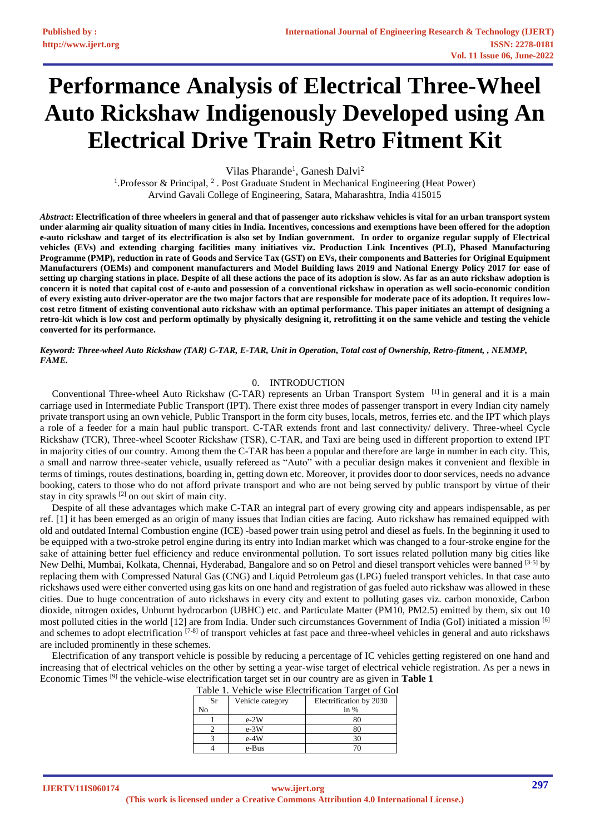# **Performance Analysis of Electrical Three-Wheel Auto Rickshaw Indigenously Developed using An Electrical Drive Train Retro Fitment Kit**

Vilas Pharande<sup>1</sup>, Ganesh Dalvi<sup>2</sup>

<sup>1</sup>. Professor & Principal, <sup>2</sup>. Post Graduate Student in Mechanical Engineering (Heat Power) Arvind Gavali College of Engineering, Satara, Maharashtra, India 415015

*Abstract***: Electrification of three wheelers in general and that of passenger auto rickshaw vehicles is vital for an urban transport system under alarming air quality situation of many cities in India. Incentives, concessions and exemptions have been offered for the adoption e-auto rickshaw and target of its electrification is also set by Indian government. In order to organize regular supply of Electrical vehicles (EVs) and extending charging facilities many initiatives viz. Production Link Incentives (PLI), Phased Manufacturing Programme (PMP), reduction in rate of Goods and Service Tax (GST) on EVs, their components and Batteries for Original Equipment Manufacturers (OEMs) and component manufacturers and Model Building laws 2019 and National Energy Policy 2017 for ease of setting up charging stations in place. Despite of all these actions the pace of its adoption is slow. As far as an auto rickshaw adoption is concern it is noted that capital cost of e-auto and possession of a conventional rickshaw in operation as well socio-economic condition of every existing auto driver-operator are the two major factors that are responsible for moderate pace of its adoption. It requires lowcost retro fitment of existing conventional auto rickshaw with an optimal performance. This paper initiates an attempt of designing a retro-kit which is low cost and perform optimally by physically designing it, retrofitting it on the same vehicle and testing the vehicle converted for its performance.**

*Keyword: Three-wheel Auto Rickshaw (TAR) C-TAR, E-TAR, Unit in Operation, Total cost of Ownership, Retro-fitment, , NEMMP, FAME.*

#### 0. INTRODUCTION

Conventional Three-wheel Auto Rickshaw (C-TAR) represents an Urban Transport System [\[1\]](#page-14-0) in general and it is a main carriage used in Intermediate Public Transport (IPT). There exist three modes of passenger transport in every Indian city namely private transport using an own vehicle, Public Transport in the form city buses, locals, metros, ferries etc. and the IPT which plays a role of a feeder for a main haul public transport. C-TAR extends front and last connectivity/ delivery. Three-wheel Cycle Rickshaw (TCR), Three-wheel Scooter Rickshaw (TSR), C-TAR, and Taxi are being used in different proportion to extend IPT in majority cities of our country. Among them the C-TAR has been a popular and therefore are large in number in each city. This, a small and narrow three-seater vehicle, usually refereed as "Auto" with a peculiar design makes it convenient and flexible in terms of timings, routes destinations, boarding in, getting down etc. Moreover, it provides door to door services, needs no advance booking, caters to those who do not afford private transport and who are not being served by public transport by virtue of their stay in city sprawls [\[2\]](#page-14-1) on out skirt of main city.

Despite of all these advantages which make C-TAR an integral part of every growing city and appears indispensable, as per ref. [1] it has been emerged as an origin of many issues that Indian cities are facing. Auto rickshaw has remained equipped with old and outdated Internal Combustion engine (ICE) -based power train using petrol and diesel as fuels. In the beginning it used to be equipped with a two-stroke petrol engine during its entry into Indian market which was changed to a four-stroke engine for the sake of attaining better fuel efficiency and reduce environmental pollution. To sort issues related pollution many big cities like New Delhi, Mumbai, Kolkata, Chennai, Hyderabad, Bangalore and so on Petrol and diesel transport vehicles were banned [3-5] by replacing them with Compressed Natural Gas (CNG) and Liquid Petroleum gas (LPG) fueled transport vehicles. In that case auto rickshaws used were either converted using gas kits on one hand and registration of gas fueled auto rickshaw was allowed in these cities. Due to huge concentration of auto rickshaws in every city and extent to polluting gases viz. carbon monoxide, Carbon dioxide, nitrogen oxides, Unburnt hydrocarbon (UBHC) etc. and Particulate Matter (PM10, PM2.5) emitted by them, six out 10 most polluted cities in the world [12] are from India. Under such circumstances Government of India (GoI) initiated a mission [6] and schemes to adopt electrification [7-8] of transport vehicles at fast pace and three-wheel vehicles in general and auto rickshaws are included prominently in these schemes.

Electrification of any transport vehicle is possible by reducing a percentage of IC vehicles getting registered on one hand and increasing that of electrical vehicles on the other by setting a year-wise target of electrical vehicle registration. As per a news in Economic Times [9] the vehicle-wise electrification target set in our country are as given in **Table 1**

| Table 1. Vehicle wise Electrification Target of Gol |                  |                         |
|-----------------------------------------------------|------------------|-------------------------|
| Sr                                                  | Vehicle category | Electrification by 2030 |
| No                                                  |                  | in $%$                  |
|                                                     | $e-2W$           | 80                      |
|                                                     | $e-3W$           | 80                      |
|                                                     | $e-4W$           | 30                      |
|                                                     | e-Bus            |                         |

Table 1. Vehicle wise Electrification Target of GoI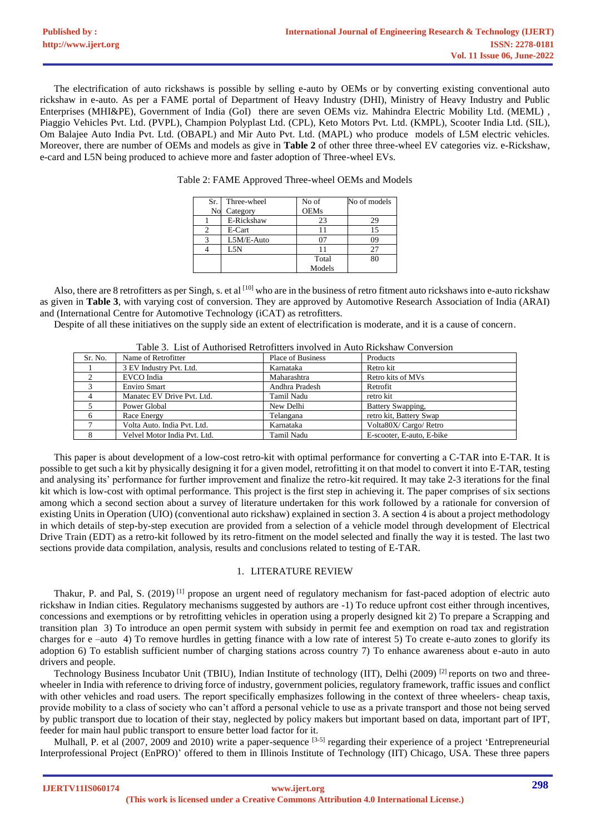The electrification of auto rickshaws is possible by selling e-auto by OEMs or by converting existing conventional auto rickshaw in e-auto. As per a FAME portal of Department of Heavy Industry (DHI), Ministry of Heavy Industry and Public Enterprises (MHI&PE), Government of India (GoI) there are seven OEMs viz. Mahindra Electric Mobility Ltd. (MEML), Piaggio Vehicles Pvt. Ltd. (PVPL), Champion Polyplast Ltd. (CPL), Keto Motors Pvt. Ltd. (KMPL), Scooter India Ltd. (SIL), Om Balajee Auto India Pvt. Ltd. (OBAPL) and Mir Auto Pvt. Ltd. (MAPL) who produce models of L5M electric vehicles. Moreover, there are number of OEMs and models as give in **Table 2** of other three three-wheel EV categories viz. e-Rickshaw, e-card and L5N being produced to achieve more and faster adoption of Three-wheel EVs.

| Sr. | Three-wheel | No of       | No of models |
|-----|-------------|-------------|--------------|
| No  | Category    | <b>OEMs</b> |              |
|     | E-Rickshaw  | 23          | 29           |
|     | E-Cart      |             | 15           |
|     | L5M/E-Auto  |             | 09           |
|     | L5N         |             | 27           |
|     |             | Total       | 80           |
|     |             | Models      |              |

Table 2: FAME Approved Three-wheel OEMs and Models

Also, there are 8 retrofitters as per Singh, s. et al <sup>[\[10\]](#page-14-2)</sup> who are in the business of retro fitment auto rickshaws into e-auto rickshaw as given in **Table 3**, with varying cost of conversion. They are approved by Automotive Research Association of India (ARAI) and (International Centre for Automotive Technology (iCAT) as retrofitters.

Despite of all these initiatives on the supply side an extent of electrification is moderate, and it is a cause of concern.

|         | Table 5. List of Audiofised Redoffiels involved in Auto Rickshaw Conversion |                          |                           |  |
|---------|-----------------------------------------------------------------------------|--------------------------|---------------------------|--|
| Sr. No. | Name of Retrofitter                                                         | <b>Place of Business</b> | Products                  |  |
|         | 3 EV Industry Pvt. Ltd.                                                     | Karnataka                | Retro kit                 |  |
|         | EVCO India                                                                  | Maharashtra              | Retro kits of MVs         |  |
|         | <b>Enviro Smart</b>                                                         | Andhra Pradesh           | Retrofit                  |  |
|         | Manatec EV Drive Pvt. Ltd.                                                  | Tamil Nadu               | retro kit                 |  |
|         | Power Global                                                                | New Delhi                | Battery Swapping,         |  |
| 6       | Race Energy                                                                 | Telangana                | retro kit, Battery Swap   |  |
|         | Volta Auto. India Pvt. Ltd.                                                 | Karnataka                | Volta80X/ Cargo/ Retro    |  |
| 8       | Velvel Motor India Pvt. Ltd.                                                | Tamil Nadu               | E-scooter, E-auto, E-bike |  |

Table 3. List of Authorised Retrofitters involved in Auto Rickshaw Conversion

This paper is about development of a low-cost retro-kit with optimal performance for converting a C-TAR into E-TAR. It is possible to get such a kit by physically designing it for a given model, retrofitting it on that model to convert it into E-TAR, testing and analysing its' performance for further improvement and finalize the retro-kit required. It may take 2-3 iterations for the final kit which is low-cost with optimal performance. This project is the first step in achieving it. The paper comprises of six sections among which a second section about a survey of literature undertaken for this work followed by a rationale for conversion of existing Units in Operation (UIO) (conventional auto rickshaw) explained in section 3. A section 4 is about a project methodology in which details of step-by-step execution are provided from a selection of a vehicle model through development of Electrical Drive Train (EDT) as a retro-kit followed by its retro-fitment on the model selected and finally the way it is tested. The last two sections provide data compilation, analysis, results and conclusions related to testing of E-TAR.

# 1. LITERATURE REVIEW

Thakur, P. and Pal, S. (2019)<sup>[1]</sup> propose an urgent need of regulatory mechanism for fast-paced adoption of electric auto rickshaw in Indian cities. Regulatory mechanisms suggested by authors are -1) To reduce upfront cost either through incentives, concessions and exemptions or by retrofitting vehicles in operation using a properly designed kit 2) To prepare a Scrapping and transition plan 3) To introduce an open permit system with subsidy in permit fee and exemption on road tax and registration charges for e –auto 4) To remove hurdles in getting finance with a low rate of interest 5) To create e-auto zones to glorify its adoption 6) To establish sufficient number of charging stations across country 7) To enhance awareness about e-auto in auto drivers and people.

Technology Business Incubator Unit (TBIU), Indian Institute of technology (IIT), Delhi (2009) <sup>[2]</sup> reports on two and threewheeler in India with reference to driving force of industry, government policies, regulatory framework, traffic issues and conflict with other vehicles and road users. The report specifically emphasizes following in the context of three wheelers- cheap taxis, provide mobility to a class of society who can't afford a personal vehicle to use as a private transport and those not being served by public transport due to location of their stay, neglected by policy makers but important based on data, important part of IPT, feeder for main haul public transport to ensure better load factor for it.

Mulhall, P. et al  $(2007, 2009)$  and 2010) write a paper-sequence  $[3-5]$  regarding their experience of a project 'Entrepreneurial Interprofessional Project (EnPRO)' offered to them in Illinois Institute of Technology (IIT) Chicago, USA. These three papers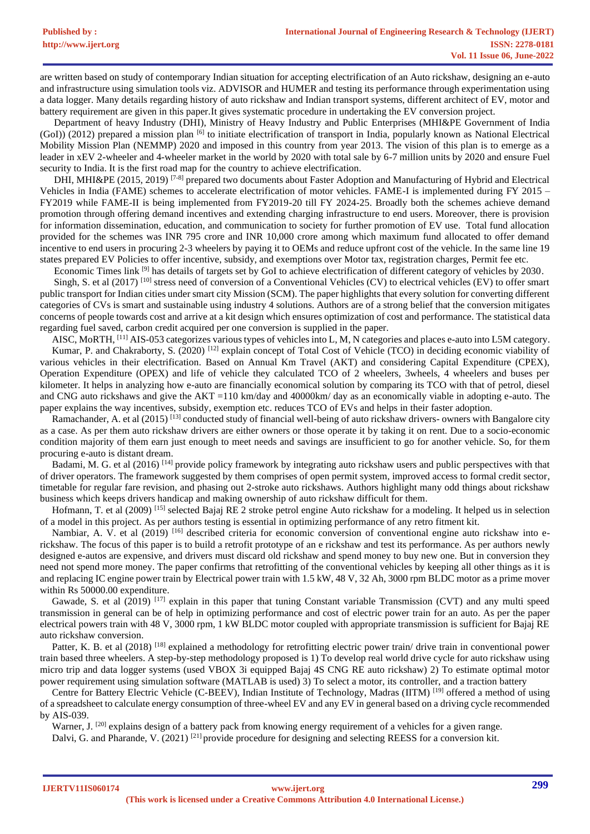are written based on study of contemporary Indian situation for accepting electrification of an Auto rickshaw, designing an e-auto and infrastructure using simulation tools viz. ADVISOR and HUMER and testing its performance through experimentation using a data logger. Many details regarding history of auto rickshaw and Indian transport systems, different architect of EV, motor and battery requirement are given in this paper.It gives systematic procedure in undertaking the EV conversion project.

Department of heavy Industry (DHI), Ministry of Heavy Industry and Public Enterprises (MHI&PE Government of India  $(Gol)$ ) (2012) prepared a mission plan  $[6]$  to initiate electrification of transport in India, popularly known as National Electrical Mobility Mission Plan (NEMMP) 2020 and imposed in this country from year 2013. The vision of this plan is to emerge as a leader in xEV 2-wheeler and 4-wheeler market in the world by 2020 with total sale by 6-7 million units by 2020 and ensure Fuel security to India. It is the first road map for the country to achieve electrification.

DHI, MHI&PE (2015, 2019)<sup>[7-8]</sup> prepared two documents about Faster Adoption and Manufacturing of Hybrid and Electrical Vehicles in India (FAME) schemes to accelerate electrification of motor vehicles. FAME-I is implemented during FY 2015 – FY2019 while FAME-II is being implemented from FY2019-20 till FY 2024-25. Broadly both the schemes achieve demand promotion through offering demand incentives and extending charging infrastructure to end users. Moreover, there is provision for information dissemination, education, and communication to society for further promotion of EV use. Total fund allocation provided for the schemes was INR 795 crore and INR 10,000 crore among which maximum fund allocated to offer demand incentive to end users in procuring 2-3 wheelers by paying it to OEMs and reduce upfront cost of the vehicle. In the same line 19 states prepared EV Policies to offer incentive, subsidy, and exemptions over Motor tax, registration charges, Permit fee etc.

Economic Times link [9] has details of targets set by GoI to achieve electrification of different category of vehicles by 2030.

Singh, S. et al (2017) <sup>[10]</sup> stress need of conversion of a Conventional Vehicles (CV) to electrical vehicles (EV) to offer smart public transport for Indian cities under smart city Mission (SCM). The paper highlights that every solution for converting different categories of CVs is smart and sustainable using industry 4 solutions. Authors are of a strong belief that the conversion mitigates concerns of people towards cost and arrive at a kit design which ensures optimization of cost and performance. The statistical data regarding fuel saved, carbon credit acquired per one conversion is supplied in the paper.

AISC, MoRTH, <sup>[11]</sup> AIS-053 categorizes various types of vehicles into L, M, N categories and places e-auto into L5M category. Kumar, P. and Chakraborty, S. (2020) <sup>[12]</sup> explain concept of Total Cost of Vehicle (TCO) in deciding economic viability of various vehicles in their electrification. Based on Annual Km Travel (AKT) and considering Capital Expenditure (CPEX), Operation Expenditure (OPEX) and life of vehicle they calculated TCO of 2 wheelers, 3wheels, 4 wheelers and buses per kilometer. It helps in analyzing how e-auto are financially economical solution by comparing its TCO with that of petrol, diesel and CNG auto rickshaws and give the AKT =110 km/day and 40000km/ day as an economically viable in adopting e-auto. The paper explains the way incentives, subsidy, exemption etc. reduces TCO of EVs and helps in their faster adoption.

Ramachander, A. et al  $(2015)^{[13]}$  conducted study of financial well-being of auto rickshaw drivers- owners with Bangalore city as a case. As per them auto rickshaw drivers are either owners or those operate it by taking it on rent. Due to a socio-economic condition majority of them earn just enough to meet needs and savings are insufficient to go for another vehicle. So, for them procuring e-auto is distant dream.

Badami, M. G. et al (2016) [14] provide policy framework by integrating auto rickshaw users and public perspectives with that of driver operators. The framework suggested by them comprises of open permit system, improved access to formal credit sector, timetable for regular fare revision, and phasing out 2-stroke auto rickshaws. Authors highlight many odd things about rickshaw business which keeps drivers handicap and making ownership of auto rickshaw difficult for them.

Hofmann, T. et al (2009) [15] selected Bajaj RE 2 stroke petrol engine Auto rickshaw for a modeling. It helped us in selection of a model in this project. As per authors testing is essential in optimizing performance of any retro fitment kit.

Nambiar, A. V. et al  $(2019)$  [16] described criteria for economic conversion of conventional engine auto rickshaw into erickshaw. The focus of this paper is to build a retrofit prototype of an e rickshaw and test its performance. As per authors newly designed e-autos are expensive, and drivers must discard old rickshaw and spend money to buy new one. But in conversion they need not spend more money. The paper confirms that retrofitting of the conventional vehicles by keeping all other things as it is and replacing IC engine power train by Electrical power train with 1.5 kW, 48 V, 32 Ah, 3000 rpm BLDC motor as a prime mover within Rs 50000.00 expenditure.

Gawade, S. et al  $(2019)$  [17] explain in this paper that tuning Constant variable Transmission (CVT) and any multi speed transmission in general can be of help in optimizing performance and cost of electric power train for an auto. As per the paper electrical powers train with 48 V, 3000 rpm, 1 kW BLDC motor coupled with appropriate transmission is sufficient for Bajaj RE auto rickshaw conversion.

Patter, K. B. et al (2018) <sup>[18]</sup> explained a methodology for retrofitting electric power train/ drive train in conventional power train based three wheelers. A step-by-step methodology proposed is 1) To develop real world drive cycle for auto rickshaw using micro trip and data logger systems (used VBOX 3i equipped Bajaj 4S CNG RE auto rickshaw) 2) To estimate optimal motor power requirement using simulation software (MATLAB is used) 3) To select a motor, its controller, and a traction battery

Centre for Battery Electric Vehicle (C-BEEV), Indian Institute of Technology, Madras (IITM) <sup>[19]</sup> offered a method of using of a spreadsheet to calculate energy consumption of three-wheel EV and any EV in general based on a driving cycle recommended by AIS-039.

Warner, J. <sup>[20]</sup> explains design of a battery pack from knowing energy requirement of a vehicles for a given range.

Dalvi, G. and Pharande, V. (2021) <sup>[21]</sup> provide procedure for designing and selecting REESS for a conversion kit.

**IJERTV11IS060174**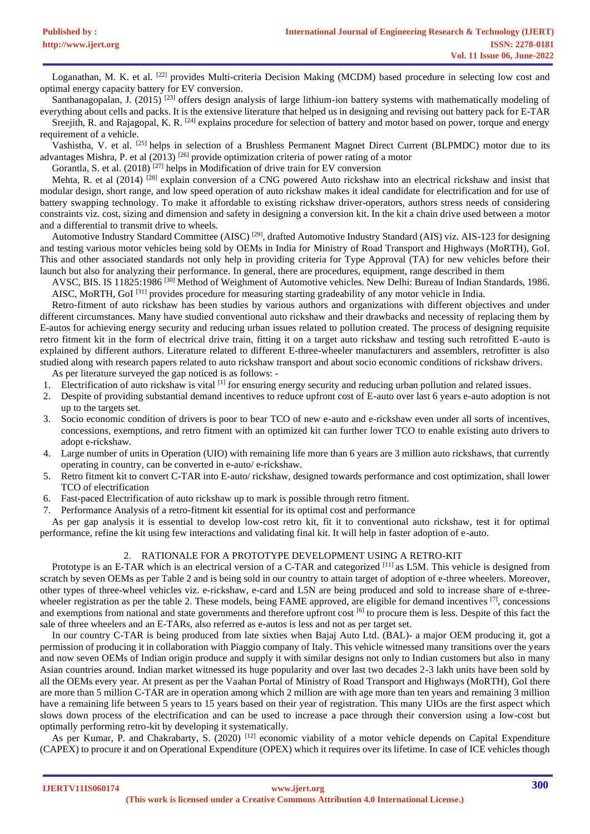Loganathan, M. K. et al. <sup>[22]</sup> provides Multi-criteria Decision Making (MCDM) based procedure in selecting low cost and optimal energy capacity battery for EV conversion.

Santhanagopalan, J. (2015)<sup>[23]</sup> offers design analysis of large lithium-ion battery systems with mathematically modeling of everything about cells and packs. It is the extensive literature that helped us in designing and revising out battery pack for E-TAR

Sreejith, R. and Rajagopal, K. R. <sup>[24]</sup> explains procedure for selection of battery and motor based on power, torque and energy requirement of a vehicle.

Vashistha, V. et al. [25] helps in selection of a Brushless Permanent Magnet Direct Current (BLPMDC) motor due to its advantages Mishra, P. et al  $(2013)$ <sup>[26]</sup> provide optimization criteria of power rating of a motor

Gorantla, S. et al. (2018) [27] helps in Modification of drive train for EV conversion

Mehta, R. et al (2014) <sup>[28]</sup> explain conversion of a CNG powered Auto rickshaw into an electrical rickshaw and insist that modular design, short range, and low speed operation of auto rickshaw makes it ideal candidate for electrification and for use of battery swapping technology. To make it affordable to existing rickshaw driver-operators, authors stress needs of considering constraints viz. cost, sizing and dimension and safety in designing a conversion kit. In the kit a chain drive used between a motor and a differential to transmit drive to wheels.

Automotive Industry Standard Committee (AISC)<sup>[29]</sup>, drafted Automotive Industry Standard (AIS) viz. AIS-123 for designing and testing various motor vehicles being sold by OEMs in India for Ministry of Road Transport and Highways (MoRTH), GoI. This and other associated standards not only help in providing criteria for Type Approval (TA) for new vehicles before their launch but also for analyzing their performance. In general, there are procedures, equipment, range described in them

AVSC, BIS. IS 11825:1986 [30] Method of Weighment of Automotive vehicles. New Delhi: Bureau of Indian Standards, 1986. AISC, MoRTH, GoI<sup>[31]</sup> provides procedure for measuring starting gradeability of any motor vehicle in India.

Retro-fitment of auto rickshaw has been studies by various authors and organizations with different objectives and under different circumstances. Many have studied conventional auto rickshaw and their drawbacks and necessity of replacing them by E-autos for achieving energy security and reducing urban issues related to pollution created. The process of designing requisite retro fitment kit in the form of electrical drive train, fitting it on a target auto rickshaw and testing such retrofitted E-auto is explained by different authors. Literature related to different E-three-wheeler manufacturers and assemblers, retrofitter is also studied along with research papers related to auto rickshaw transport and about socio economic conditions of rickshaw drivers.

As per literature surveyed the gap noticed is as follows: -

- 1. Electrification of auto rickshaw is vital <sup>[1]</sup> for ensuring energy security and reducing urban pollution and related issues.
- 2. Despite of providing substantial demand incentives to reduce upfront cost of E-auto over last 6 years e-auto adoption is not up to the targets set.
- 3. Socio economic condition of drivers is poor to bear TCO of new e-auto and e-rickshaw even under all sorts of incentives, concessions, exemptions, and retro fitment with an optimized kit can further lower TCO to enable existing auto drivers to adopt e-rickshaw.
- 4. Large number of units in Operation (UIO) with remaining life more than 6 years are 3 million auto rickshaws, that currently operating in country, can be converted in e-auto/ e-rickshaw.
- 5. Retro fitment kit to convert C-TAR into E-auto/ rickshaw, designed towards performance and cost optimization, shall lower TCO of electrification
- 6. Fast-paced Electrification of auto rickshaw up to mark is possible through retro fitment.
- 7. Performance Analysis of a retro-fitment kit essential for its optimal cost and performance

As per gap analysis it is essential to develop low-cost retro kit, fit it to conventional auto rickshaw, test it for optimal performance, refine the kit using few interactions and validating final kit. It will help in faster adoption of e-auto.

# 2. RATIONALE FOR A PROTOTYPE DEVELOPMENT USING A RETRO-KIT

Prototype is an E-TAR which is an electrical version of a C-TAR and categorized  $[11]$  as L5M. This vehicle is designed from scratch by seven OEMs as per Table 2 and is being sold in our country to attain target of adoption of e-three wheelers. Moreover, other types of three-wheel vehicles viz. e-rickshaw, e-card and L5N are being produced and sold to increase share of e-threewheeler registration as per the table 2. These models, being FAME approved, are eligible for demand incentives  $^{[7]}$ , concessions and exemptions from national and state governments and therefore upfront cost [6] to procure them is less. Despite of this fact the sale of three wheelers and an E-TARs, also referred as e-autos is less and not as per target set.

In our country C-TAR is being produced from late sixties when Bajaj Auto Ltd. (BAL)- a major OEM producing it, got a permission of producing it in collaboration with Piaggio company of Italy. This vehicle witnessed many transitions over the years and now seven OEMs of Indian origin produce and supply it with similar designs not only to Indian customers but also in many Asian countries around. Indian market witnessed its huge popularity and over last two decades 2-3 lakh units have been sold by all the OEMs every year. At present as per the Vaahan Portal of Ministry of Road Transport and Highways (MoRTH), GoI there are more than 5 million C-TAR are in operation among which 2 million are with age more than ten years and remaining 3 million have a remaining life between 5 years to 15 years based on their year of registration. This many UIOs are the first aspect which slows down process of the electrification and can be used to increase a pace through their conversion using a low-cost but optimally performing retro-kit by developing it systematically.

As per Kumar, P. and Chakrabarty, S. (2020) <sup>[12]</sup> economic viability of a motor vehicle depends on Capital Expenditure (CAPEX) to procure it and on Operational Expenditure (OPEX) which it requires over its lifetime. In case of ICE vehicles though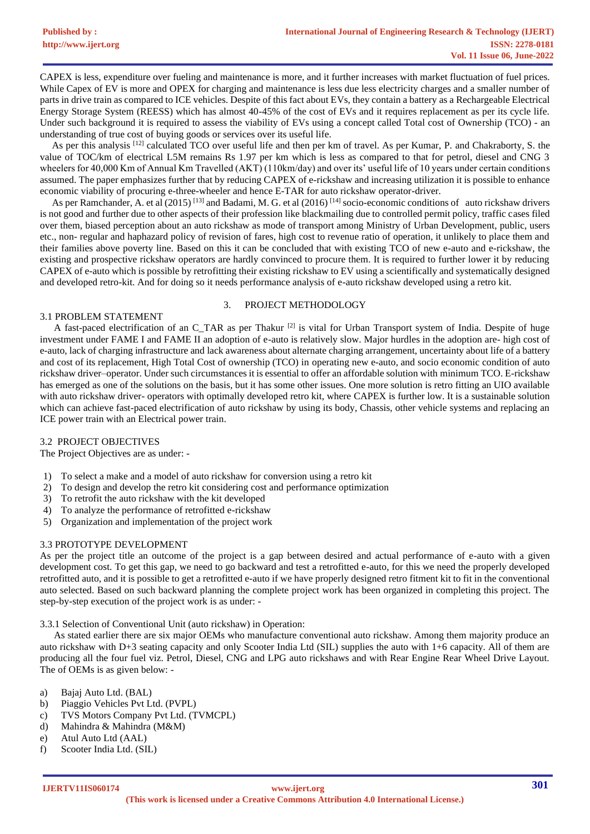CAPEX is less, expenditure over fueling and maintenance is more, and it further increases with market fluctuation of fuel prices. While Capex of EV is more and OPEX for charging and maintenance is less due less electricity charges and a smaller number of parts in drive train as compared to ICE vehicles. Despite of this fact about EVs, they contain a battery as a Rechargeable Electrical Energy Storage System (REESS) which has almost 40-45% of the cost of EVs and it requires replacement as per its cycle life. Under such background it is required to assess the viability of EVs using a concept called Total cost of Ownership (TCO) - an understanding of true cost of buying goods or services over its useful life.

As per this analysis [12] calculated TCO over useful life and then per km of travel. As per Kumar, P. and Chakraborty, S. the value of TOC/km of electrical L5M remains Rs 1.97 per km which is less as compared to that for petrol, diesel and CNG 3 wheelers for 40,000 Km of Annual Km Travelled (AKT) (110km/day) and over its' useful life of 10 years under certain conditions assumed. The paper emphasizes further that by reducing CAPEX of e-rickshaw and increasing utilization it is possible to enhance economic viability of procuring e-three-wheeler and hence E-TAR for auto rickshaw operator-driver.

As per Ramchander, A. et al (2015)<sup>[13]</sup> and Badami, M. G. et al (2016)<sup>[14]</sup> socio-economic conditions of auto rickshaw drivers is not good and further due to other aspects of their profession like blackmailing due to controlled permit policy, traffic cases filed over them, biased perception about an auto rickshaw as mode of transport among Ministry of Urban Development, public, users etc., non- regular and haphazard policy of revision of fares, high cost to revenue ratio of operation, it unlikely to place them and their families above poverty line. Based on this it can be concluded that with existing TCO of new e-auto and e-rickshaw, the existing and prospective rickshaw operators are hardly convinced to procure them. It is required to further lower it by reducing CAPEX of e-auto which is possible by retrofitting their existing rickshaw to EV using a scientifically and systematically designed and developed retro-kit. And for doing so it needs performance analysis of e-auto rickshaw developed using a retro kit.

# 3.1 PROBLEM STATEMENT

#### 3. PROJECT METHODOLOGY

A fast-paced electrification of an C\_TAR as per Thakur [2] is vital for Urban Transport system of India. Despite of huge investment under FAME I and FAME II an adoption of e-auto is relatively slow. Major hurdles in the adoption are- high cost of e-auto, lack of charging infrastructure and lack awareness about alternate charging arrangement, uncertainty about life of a battery and cost of its replacement, High Total Cost of ownership (TCO) in operating new e-auto, and socio economic condition of auto rickshaw driver–operator. Under such circumstances it is essential to offer an affordable solution with minimum TCO. E-rickshaw has emerged as one of the solutions on the basis, but it has some other issues. One more solution is retro fitting an UIO available with auto rickshaw driver- operators with optimally developed retro kit, where CAPEX is further low. It is a sustainable solution which can achieve fast-paced electrification of auto rickshaw by using its body, Chassis, other vehicle systems and replacing an ICE power train with an Electrical power train.

# 3.2 PROJECT OBJECTIVES

The Project Objectives are as under: -

- 1) To select a make and a model of auto rickshaw for conversion using a retro kit
- 2) To design and develop the retro kit considering cost and performance optimization
- 3) To retrofit the auto rickshaw with the kit developed
- 4) To analyze the performance of retrofitted e-rickshaw
- 5) Organization and implementation of the project work

# 3.3 PROTOTYPE DEVELOPMENT

As per the project title an outcome of the project is a gap between desired and actual performance of e-auto with a given development cost. To get this gap, we need to go backward and test a retrofitted e-auto, for this we need the properly developed retrofitted auto, and it is possible to get a retrofitted e-auto if we have properly designed retro fitment kit to fit in the conventional auto selected. Based on such backward planning the complete project work has been organized in completing this project. The step-by-step execution of the project work is as under: -

3.3.1 Selection of Conventional Unit (auto rickshaw) in Operation:

As stated earlier there are six major OEMs who manufacture conventional auto rickshaw. Among them majority produce an auto rickshaw with D+3 seating capacity and only Scooter India Ltd (SIL) supplies the auto with 1+6 capacity. All of them are producing all the four fuel viz. Petrol, Diesel, CNG and LPG auto rickshaws and with Rear Engine Rear Wheel Drive Layout. The of OEMs is as given below: -

- a) Bajaj Auto Ltd. (BAL)
- b) Piaggio Vehicles Pvt Ltd. (PVPL)
- c) TVS Motors Company Pvt Ltd. (TVMCPL)
- d) Mahindra & Mahindra (M&M)
- e) Atul Auto Ltd (AAL)
- f) Scooter India Ltd. (SIL)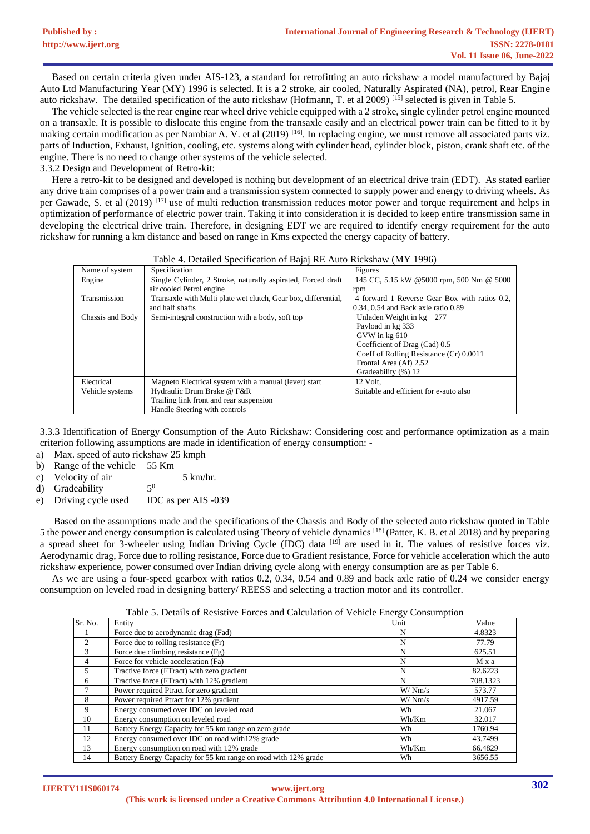Based on certain criteria given under AIS-123, a standard for retrofitting an auto rickshaw a model manufactured by Bajaj Auto Ltd Manufacturing Year (MY) 1996 is selected. It is a 2 stroke, air cooled, Naturally Aspirated (NA), petrol, Rear Engine auto rickshaw. The detailed specification of the auto rickshaw (Hofmann, T. et al 2009) [15] selected is given in Table 5.

The vehicle selected is the rear engine rear wheel drive vehicle equipped with a 2 stroke, single cylinder petrol engine mounted on a transaxle. It is possible to dislocate this engine from the transaxle easily and an electrical power train can be fitted to it by making certain modification as per Nambiar A. V. et al (2019) [16]. In replacing engine, we must remove all associated parts viz. parts of Induction, Exhaust, Ignition, cooling, etc. systems along with cylinder head, cylinder block, piston, crank shaft etc. of the engine. There is no need to change other systems of the vehicle selected.

3.3.2 Design and Development of Retro-kit:

**[Published by :](www.ijert.org)**

Here a retro-kit to be designed and developed is nothing but development of an electrical drive train (EDT). As stated earlier any drive train comprises of a power train and a transmission system connected to supply power and energy to driving wheels. As per Gawade, S, et al (2019)  $^{[17]}$  use of multi reduction transmission reduces motor power and torque requirement and helps in optimization of performance of electric power train. Taking it into consideration it is decided to keep entire transmission same in developing the electrical drive train. Therefore, in designing EDT we are required to identify energy requirement for the auto rickshaw for running a km distance and based on range in Kms expected the energy capacity of battery.

|                  | Taolo +. Detailed Specification of Bajaj RE Tutto Rickshaw (1911 1770) |                                               |
|------------------|------------------------------------------------------------------------|-----------------------------------------------|
| Name of system   | Specification                                                          | Figures                                       |
| Engine           | Single Cylinder, 2 Stroke, naturally aspirated, Forced draft           | 145 CC, 5.15 kW @5000 rpm, 500 Nm @ 5000      |
|                  | air cooled Petrol engine                                               | rpm                                           |
| Transmission     | Transaxle with Multi plate wet clutch, Gear box, differential,         | 4 forward 1 Reverse Gear Box with ratios 0.2, |
|                  | and half shafts                                                        | $0.34$ , $0.54$ and Back axle ratio $0.89$    |
| Chassis and Body | Semi-integral construction with a body, soft top                       | Unladen Weight in kg 277                      |
|                  |                                                                        | Payload in kg 333                             |
|                  |                                                                        | GVW in kg 610                                 |
|                  |                                                                        | Coefficient of Drag (Cad) 0.5                 |
|                  |                                                                        | Coeff of Rolling Resistance (Cr) 0.0011       |
|                  |                                                                        | Frontal Area (Af) 2.52                        |
|                  |                                                                        | Gradeability (%) 12                           |
| Electrical       | Magneto Electrical system with a manual (lever) start                  | 12 Volt.                                      |
| Vehicle systems  | Hydraulic Drum Brake @ F&R                                             | Suitable and efficient for e-auto also        |
|                  | Trailing link front and rear suspension                                |                                               |
|                  | Handle Steering with controls                                          |                                               |

Table 4. Detailed Specification of Bajaj RE Auto Rickshaw (MY 1996)

3.3.3 Identification of Energy Consumption of the Auto Rickshaw: Considering cost and performance optimization as a main criterion following assumptions are made in identification of energy consumption: -

a) Max. speed of auto rickshaw 25 kmph

b) Range of the vehicle 55 Km

c) Velocity of air 5 km/hr.  $5<sup>0</sup>$ 

d) Gradeability

e) Driving cycle used IDC as per AIS -039

Based on the assumptions made and the specifications of the Chassis and Body of the selected auto rickshaw quoted in Table 5 the power and energy consumption is calculated using Theory of vehicle dynamics [18] (Patter, K. B. et al 2018) and by preparing a spread sheet for 3-wheeler using Indian Driving Cycle (IDC) data  $[19]$  are used in it. The values of resistive forces viz. Aerodynamic drag, Force due to rolling resistance, Force due to Gradient resistance, Force for vehicle acceleration which the auto rickshaw experience, power consumed over Indian driving cycle along with energy consumption are as per Table 6.

As we are using a four-speed gearbox with ratios 0.2, 0.34, 0.54 and 0.89 and back axle ratio of 0.24 we consider energy consumption on leveled road in designing battery/ REESS and selecting a traction motor and its controller.

Table 5. Details of Resistive Forces and Calculation of Vehicle Energy Consumption

|                |                                                                | ~       |          |
|----------------|----------------------------------------------------------------|---------|----------|
| Sr. No.        | Entity                                                         | Unit    | Value    |
|                | Force due to aerodynamic drag (Fad)                            | N       | 4.8323   |
| $\mathfrak{D}$ | Force due to rolling resistance (Fr)                           | N       | 77.79    |
| 3              | Force due climbing resistance (Fg)                             | N       | 625.51   |
|                | Force for vehicle acceleration (Fa)                            | N       | Mxa      |
| 5              | Tractive force (FTract) with zero gradient                     | N       | 82.6223  |
| 6              | Tractive force (FTract) with 12% gradient                      | N       | 708.1323 |
|                | Power required Ptract for zero gradient                        | W/ Nm/s | 573.77   |
| 8              | Power required Ptract for 12% gradient                         | W/Nm/s  | 4917.59  |
| 9              | Energy consumed over IDC on leveled road                       | Wh      | 21.067   |
| 10             | Energy consumption on leveled road                             | Wh/Km   | 32.017   |
| 11             | Battery Energy Capacity for 55 km range on zero grade          | Wh      | 1760.94  |
| 12             | Energy consumed over IDC on road with 12% grade                | Wh      | 43.7499  |
| 13             | Energy consumption on road with 12% grade                      | Wh/Km   | 66.4829  |
| 14             | Battery Energy Capacity for 55 km range on road with 12% grade | Wh      | 3656.55  |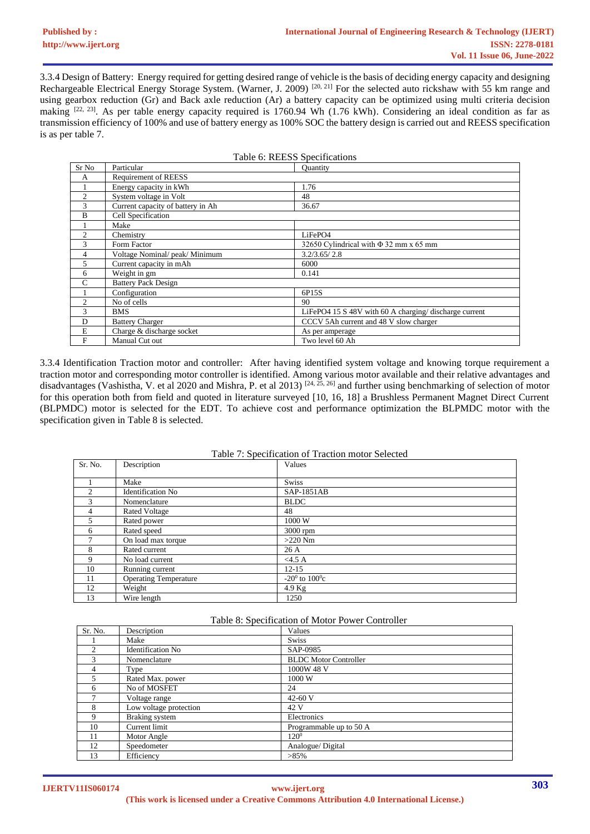3.3.4 Design of Battery: Energy required for getting desired range of vehicle is the basis of deciding energy capacity and designing Rechargeable Electrical Energy Storage System. (Warner, J. 2009) [20, 21] For the selected auto rickshaw with 55 km range and using gearbox reduction (Gr) and Back axle reduction (Ar) a battery capacity can be optimized using multi criteria decision making  $[22, 23]$ . As per table energy capacity required is 1760.94 Wh (1.76 kWh). Considering an ideal condition as far as transmission efficiency of 100% and use of battery energy as 100% SOC the battery design is carried out and REESS specification is as per table 7.

| Table 6: REESS Specifications |                                   |                                                        |  |
|-------------------------------|-----------------------------------|--------------------------------------------------------|--|
| Sr No                         | Particular                        | <b>Ouantity</b>                                        |  |
| A                             | <b>Requirement of REESS</b>       |                                                        |  |
|                               | Energy capacity in kWh            | 1.76                                                   |  |
| 2                             | System voltage in Volt            | 48                                                     |  |
| 3                             | Current capacity of battery in Ah | 36.67                                                  |  |
| B                             | Cell Specification                |                                                        |  |
|                               | Make                              |                                                        |  |
| $\overline{2}$                | Chemistry                         | LiFePO4                                                |  |
| 3                             | Form Factor                       | 32650 Cylindrical with $\Phi$ 32 mm x 65 mm            |  |
| 4                             | Voltage Nominal/peak/Minimum      | 3.2/3.65/2.8                                           |  |
| 5                             | Current capacity in mAh           | 6000                                                   |  |
| 6                             | Weight in gm                      | 0.141                                                  |  |
| $\mathcal{C}$                 | <b>Battery Pack Design</b>        |                                                        |  |
|                               | Configuration                     | 6P15S                                                  |  |
| $\overline{2}$                | No of cells                       | 90                                                     |  |
| 3                             | <b>BMS</b>                        | LiFePO4 15 S 48V with 60 A charging/ discharge current |  |
| D                             | <b>Battery Charger</b>            | CCCV 5Ah current and 48 V slow charger                 |  |
| E                             | Charge & discharge socket         | As per amperage                                        |  |
| $\mathbf{F}$                  | Manual Cut out                    | Two level 60 Ah                                        |  |

3.3.4 Identification Traction motor and controller: After having identified system voltage and knowing torque requirement a traction motor and corresponding motor controller is identified. Among various motor available and their relative advantages and disadvantages (Vashistha, V. et al 2020 and Mishra, P. et al 2013)  $[24, 25, 26]$  and further using benchmarking of selection of motor for this operation both from field and quoted in literature surveyed [10, 16, 18] a Brushless Permanent Magnet Direct Current (BLPMDC) motor is selected for the EDT. To achieve cost and performance optimization the BLPMDC motor with the specification given in Table 8 is selected.

| Table 7: Specification of Traction motor Selected |                              |                      |
|---------------------------------------------------|------------------------------|----------------------|
| Sr. No.                                           | Description                  | Values               |
|                                                   |                              |                      |
|                                                   | Make                         | <b>Swiss</b>         |
| $\mathfrak{D}$                                    | <b>Identification No</b>     | SAP-1851AB           |
| 3                                                 | Nomenclature                 | <b>BLDC</b>          |
| $\overline{4}$                                    | <b>Rated Voltage</b>         | 48                   |
| 5.                                                | Rated power                  | 1000 W               |
| 6                                                 | Rated speed                  | $3000$ rpm           |
|                                                   | On load max torque           | $>220$ Nm            |
| 8                                                 | Rated current                | 26A                  |
| 9                                                 | No load current              | <4.5 A               |
| 10                                                | Running current              | $12 - 15$            |
| 11                                                | <b>Operating Temperature</b> | $-20^0$ to $100^0$ c |
| 12                                                | Weight                       | $4.9$ Kg             |
| 13                                                | Wire length                  | 1250                 |

| Lable 8: Specification of Motor Power Controller |                          |                              |  |
|--------------------------------------------------|--------------------------|------------------------------|--|
| Sr. No.                                          | Description              | Values                       |  |
|                                                  | Make                     | <b>Swiss</b>                 |  |
| $\mathfrak{D}$                                   | <b>Identification No</b> | SAP-0985                     |  |
| 3                                                | Nomenclature             | <b>BLDC</b> Motor Controller |  |
| 4                                                | Type                     | 1000W 48 V                   |  |
|                                                  | Rated Max. power         | 1000 W                       |  |
| 6                                                | No of MOSFET             | 24                           |  |
|                                                  | Voltage range            | 42-60 $V$                    |  |
| 8                                                | Low voltage protection   | 42 V                         |  |
| 9                                                | Braking system           | Electronics                  |  |
| 10                                               | Current limit            | Programmable up to 50 A      |  |
| 11                                               | Motor Angle              | $120^{0}$                    |  |
| 12                                               | Speedometer              | Analogue/Digital             |  |
| 13                                               | Efficiency               | $>85\%$                      |  |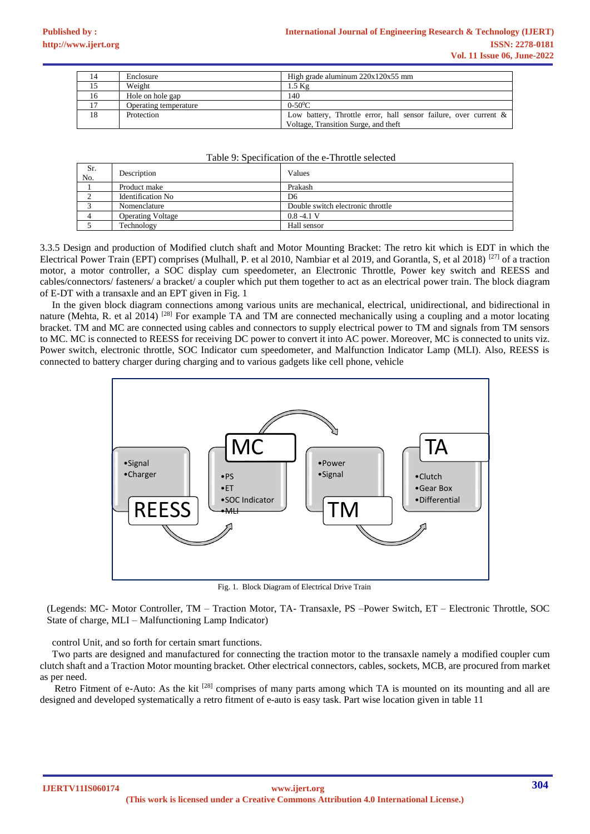| 14 | Enclosure             | High grade aluminum $220x120x55$ mm                                 |
|----|-----------------------|---------------------------------------------------------------------|
|    | Weight                | $1.5 \text{ Kg}$                                                    |
| 16 | Hole on hole gap      | 140                                                                 |
|    | Operating temperature | $0 - 50^0C$                                                         |
| 18 | Protection            | Low battery, Throttle error, hall sensor failure, over current $\&$ |
|    |                       | Voltage, Transition Surge, and theft                                |

#### Table 9: Specification of the e-Throttle selected

| Sr.<br>No. | Description              | Values                            |
|------------|--------------------------|-----------------------------------|
|            | Product make             | Prakash                           |
|            | <b>Identification No</b> | D <sub>6</sub>                    |
|            | Nomenclature             | Double switch electronic throttle |
|            | <b>Operating Voltage</b> | $0.8 - 4.1$ V                     |
|            | Technology               | Hall sensor                       |

3.3.5 Design and production of Modified clutch shaft and Motor Mounting Bracket: The retro kit which is EDT in which the Electrical Power Train (EPT) comprises (Mulhall, P. et al 2010, Nambiar et al 2019, and Gorantla, S, et al 2018) [27] of a traction motor, a motor controller, a SOC display cum speedometer, an Electronic Throttle, Power key switch and REESS and cables/connectors/ fasteners/ a bracket/ a coupler which put them together to act as an electrical power train. The block diagram of E-DT with a transaxle and an EPT given in Fig. 1

In the given block diagram connections among various units are mechanical, electrical, unidirectional, and bidirectional in nature (Mehta, R. et al 2014) <sup>[28]</sup> For example TA and TM are connected mechanically using a coupling and a motor locating bracket. TM and MC are connected using cables and connectors to supply electrical power to TM and signals from TM sensors to MC. MC is connected to REESS for receiving DC power to convert it into AC power. Moreover, MC is connected to units viz. Power switch, electronic throttle, SOC Indicator cum speedometer, and Malfunction Indicator Lamp (MLI). Also, REESS is connected to battery charger during charging and to various gadgets like cell phone, vehicle



Fig. 1. Block Diagram of Electrical Drive Train

(Legends: MC- Motor Controller, TM – Traction Motor, TA- Transaxle, PS –Power Switch, ET – Electronic Throttle, SOC State of charge, MLI – Malfunctioning Lamp Indicator)

control Unit, and so forth for certain smart functions.

Two parts are designed and manufactured for connecting the traction motor to the transaxle namely a modified coupler cum clutch shaft and a Traction Motor mounting bracket. Other electrical connectors, cables, sockets, MCB, are procured from market as per need.

Retro Fitment of e-Auto: As the kit  $^{[28]}$  comprises of many parts among which TA is mounted on its mounting and all are designed and developed systematically a retro fitment of e-auto is easy task. Part wise location given in table 11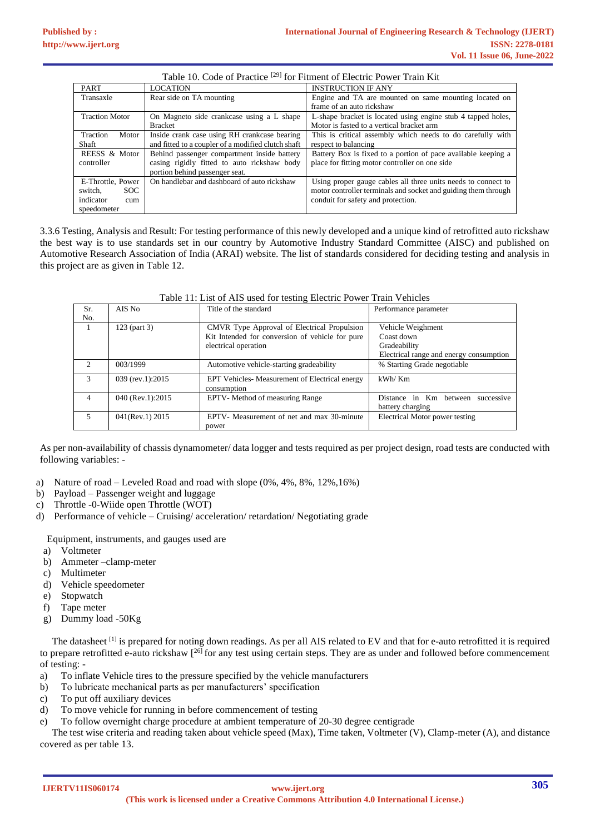| Table 10. Code of Practice <sup>[29]</sup> for Fitment of Electric Power Train Kit |                                                    |                                                                |  |
|------------------------------------------------------------------------------------|----------------------------------------------------|----------------------------------------------------------------|--|
| <b>PART</b>                                                                        | <b>LOCATION</b>                                    | <b>INSTRUCTION IF ANY</b>                                      |  |
| Transaxle                                                                          | Rear side on TA mounting                           | Engine and TA are mounted on same mounting located on          |  |
|                                                                                    |                                                    | frame of an auto rickshaw                                      |  |
| <b>Traction Motor</b>                                                              | On Magneto side crankcase using a L shape          | L-shape bracket is located using engine stub 4 tapped holes,   |  |
|                                                                                    | <b>Bracket</b>                                     | Motor is fasted to a vertical bracket arm                      |  |
| Traction<br>Motor                                                                  | Inside crank case using RH crankcase bearing       | This is critical assembly which needs to do carefully with     |  |
| Shaft                                                                              | and fitted to a coupler of a modified clutch shaft | respect to balancing                                           |  |
| REESS & Motor                                                                      | Behind passenger compartment inside battery        | Battery Box is fixed to a portion of pace available keeping a  |  |
| controller                                                                         | casing rigidly fitted to auto rickshaw body        | place for fitting motor controller on one side                 |  |
|                                                                                    | portion behind passenger seat.                     |                                                                |  |
| E-Throttle, Power                                                                  | On handlebar and dashboard of auto rickshaw        | Using proper gauge cables all three units needs to connect to  |  |
| switch.<br>SOC.                                                                    |                                                    | motor controller terminals and socket and guiding them through |  |
| indicator<br>cum                                                                   |                                                    | conduit for safety and protection.                             |  |
| speedometer                                                                        |                                                    |                                                                |  |

3.3.6 Testing, Analysis and Result: For testing performance of this newly developed and a unique kind of retrofitted auto rickshaw the best way is to use standards set in our country by Automotive Industry Standard Committee (AISC) and published on Automotive Research Association of India (ARAI) website. The list of standards considered for deciding testing and analysis in this project are as given in Table 12.

Table 11: List of AIS used for testing Electric Power Train Vehicles

| Table 11. List of Als used for testing Electric Fower Train Venicles |                    |                                                              |                                                          |  |  |  |  |  |
|----------------------------------------------------------------------|--------------------|--------------------------------------------------------------|----------------------------------------------------------|--|--|--|--|--|
| Sr.                                                                  | AIS No             | Title of the standard                                        | Performance parameter                                    |  |  |  |  |  |
| No.                                                                  |                    |                                                              |                                                          |  |  |  |  |  |
|                                                                      | $123$ (part 3)     | CMVR Type Approval of Electrical Propulsion                  | Vehicle Weighment                                        |  |  |  |  |  |
|                                                                      |                    | Kit Intended for conversion of vehicle for pure              | Coast down                                               |  |  |  |  |  |
|                                                                      |                    | electrical operation                                         | Gradeability                                             |  |  |  |  |  |
|                                                                      |                    |                                                              | Electrical range and energy consumption                  |  |  |  |  |  |
|                                                                      | 003/1999           | Automotive vehicle-starting gradeability                     | % Starting Grade negotiable                              |  |  |  |  |  |
| 3                                                                    | 039 (rev.1):2015   | EPT Vehicles-Measurement of Electrical energy<br>consumption | kWh/Km                                                   |  |  |  |  |  |
| 4                                                                    | 040 (Rev.1):2015   | EPTV- Method of measuring Range                              | Distance in Km between<br>successive<br>battery charging |  |  |  |  |  |
|                                                                      | $041$ (Rev.1) 2015 | EPTV- Measurement of net and max 30-minute<br>power          | Electrical Motor power testing                           |  |  |  |  |  |

As per non-availability of chassis dynamometer/ data logger and tests required as per project design, road tests are conducted with following variables: -

- a) Nature of road Leveled Road and road with slope (0%, 4%, 8%, 12%,16%)
- b) Payload Passenger weight and luggage
- c) Throttle -0-Wiide open Throttle (WOT)
- d) Performance of vehicle Cruising/ acceleration/ retardation/ Negotiating grade

Equipment, instruments, and gauges used are

- a) Voltmeter
- b) Ammeter –clamp-meter
- c) Multimeter
- d) Vehicle speedometer
- e) Stopwatch f) Tape meter
- g) Dummy load -50Kg

The datasheet  $^{[1]}$  is prepared for noting down readings. As per all AIS related to EV and that for e-auto retrofitted it is required to prepare retrofitted e-auto rickshaw [<sup>26]</sup> for any test using certain steps. They are as under and followed before commencement of testing: -

- a) To inflate Vehicle tires to the pressure specified by the vehicle manufacturers
- b) To lubricate mechanical parts as per manufacturers' specification
- c) To put off auxiliary devices
- d) To move vehicle for running in before commencement of testing
- e) To follow overnight charge procedure at ambient temperature of 20-30 degree centigrade

The test wise criteria and reading taken about vehicle speed (Max), Time taken, Voltmeter (V), Clamp-meter (A), and distance covered as per table 13.

**IJERTV11IS060174**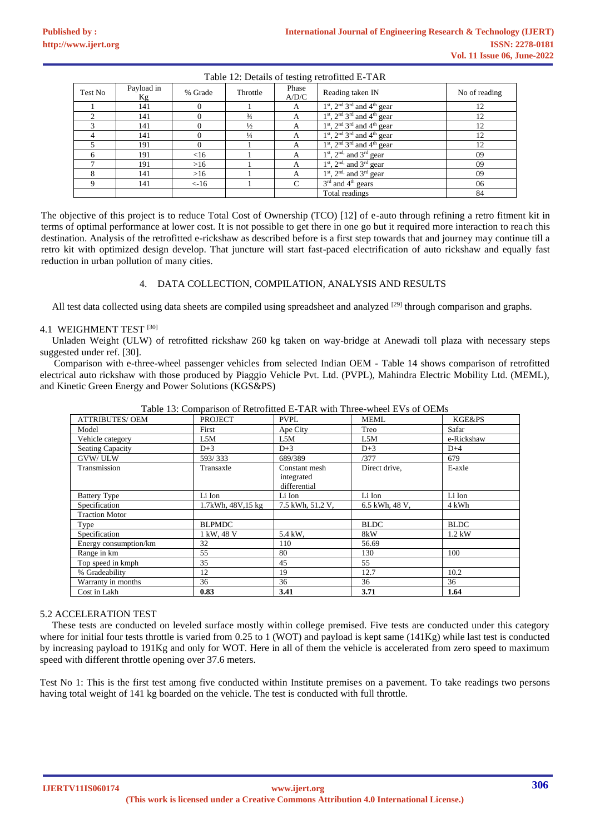| Table 12. Details of testing retrofitted L 17 IR |                  |            |               |                |                                                                  |               |  |  |  |
|--------------------------------------------------|------------------|------------|---------------|----------------|------------------------------------------------------------------|---------------|--|--|--|
| Test No                                          | Payload in<br>Kg | % Grade    | Throttle      | Phase<br>A/D/C | Reading taken IN                                                 | No of reading |  |  |  |
|                                                  | 141              |            |               | А              | $1st$ , 2 <sup>nd</sup> 3 <sup>rd</sup> and 4 <sup>th</sup> gear | 12            |  |  |  |
| $\sim$                                           | 141              |            | $\frac{3}{4}$ | А              | $1st$ , $2nd 3rd$ and $4th$ gear                                 | 12            |  |  |  |
|                                                  | 141              |            | $\frac{1}{2}$ | A              | $1st$ , $2nd 3rd$ and $4th$ gear                                 | 12            |  |  |  |
|                                                  | 141              |            | $\frac{1}{4}$ | А              | $1st$ , $2nd 3rd$ and $4th$ gear                                 | 12            |  |  |  |
|                                                  | 191              |            |               | A              | $1st$ , $2nd 3rd$ and $4th$ gear                                 | 12            |  |  |  |
| 6                                                | 191              | <16        |               | А              | $1st$ , $2nd$ , and $3rd$ gear                                   | 09            |  |  |  |
|                                                  | 191              | $>16$      |               | A              | $1st$ , $2nd$ , and $3rd$ gear                                   | 09            |  |  |  |
| 8                                                | 141              | $>16$      |               | А              | $1st$ , $2nd$ , and $3rd$ gear                                   | 09            |  |  |  |
| 9                                                | 141              | $\leq$ -16 |               | C              | $3rd$ and $4th$ gears                                            | 06            |  |  |  |
|                                                  |                  |            |               |                | Total readings                                                   | 84            |  |  |  |

Table 12: Details of testing retrofitted E-TAR

The objective of this project is to reduce Total Cost of Ownership (TCO) [12] of e-auto through refining a retro fitment kit in terms of optimal performance at lower cost. It is not possible to get there in one go but it required more interaction to reach this destination. Analysis of the retrofitted e-rickshaw as described before is a first step towards that and journey may continue till a retro kit with optimized design develop. That juncture will start fast-paced electrification of auto rickshaw and equally fast reduction in urban pollution of many cities.

#### 4. DATA COLLECTION, COMPILATION, ANALYSIS AND RESULTS

All test data collected using data sheets are compiled using spreadsheet and analyzed <sup>[29]</sup> through comparison and graphs.

# 4.1 WEIGHMENT TEST [30]

Unladen Weight (ULW) of retrofitted rickshaw 260 kg taken on way-bridge at Anewadi toll plaza with necessary steps suggested under ref. [30].

Comparison with e-three-wheel passenger vehicles from selected Indian OEM - Table 14 shows comparison of retrofitted electrical auto rickshaw with those produced by Piaggio Vehicle Pvt. Ltd. (PVPL), Mahindra Electric Mobility Ltd. (MEML), and Kinetic Green Energy and Power Solutions (KGS&PS)

| <b>ATTRIBUTES/ OEM</b>  | <b>PROJECT</b>     | <b>PVPL</b>                                 | <b>MEML</b>    | <b>KGE&amp;PS</b> |
|-------------------------|--------------------|---------------------------------------------|----------------|-------------------|
| Model                   | First              | Ape City                                    | Treo           | Safar             |
| Vehicle category        | L5M                | L5M                                         | L5M            | e-Rickshaw        |
| <b>Seating Capacity</b> | $D+3$              | $D+3$                                       | $D+3$          | $D+4$             |
| <b>GVW/ULW</b>          | 593/333            | 689/389                                     | /377           | 679               |
| Transmission            | Transaxle          | Constant mesh<br>integrated<br>differential | Direct drive,  | E-axle            |
| <b>Battery Type</b>     | Li Ion             | Li Ion                                      | Li Ion         | Li Ion            |
| Specification           | 1.7kWh, 48V, 15 kg | 7.5 kWh, 51.2 V,                            | 6.5 kWh, 48 V, | 4 kWh             |
| <b>Traction Motor</b>   |                    |                                             |                |                   |
| Type                    | <b>BLPMDC</b>      |                                             | <b>BLDC</b>    | <b>BLDC</b>       |
| Specification           | 1 kW, 48 V         | 5.4 kW.                                     | 8kW            | $1.2$ kW          |
| Energy consumption/km   | 32                 | 110                                         | 56.69          |                   |
| Range in km             | 55                 | 80                                          | 130            | 100               |
| Top speed in kmph       | 35                 | 45                                          | 55             |                   |
| % Gradeability          | 12                 | 19                                          | 12.7           | 10.2              |
| Warranty in months      | 36                 | 36                                          | 36             | 36                |
| Cost in Lakh            | 0.83               | 3.41                                        | 3.71           | 1.64              |
|                         |                    |                                             |                |                   |

Table 13: Comparison of Retrofitted E-TAR with Three-wheel EVs of OEMs

#### 5.2 ACCELERATION TEST

These tests are conducted on leveled surface mostly within college premised. Five tests are conducted under this category where for initial four tests throttle is varied from 0.25 to 1 (WOT) and payload is kept same (141Kg) while last test is conducted by increasing payload to 191Kg and only for WOT. Here in all of them the vehicle is accelerated from zero speed to maximum speed with different throttle opening over 37.6 meters.

Test No 1: This is the first test among five conducted within Institute premises on a pavement. To take readings two persons having total weight of 141 kg boarded on the vehicle. The test is conducted with full throttle.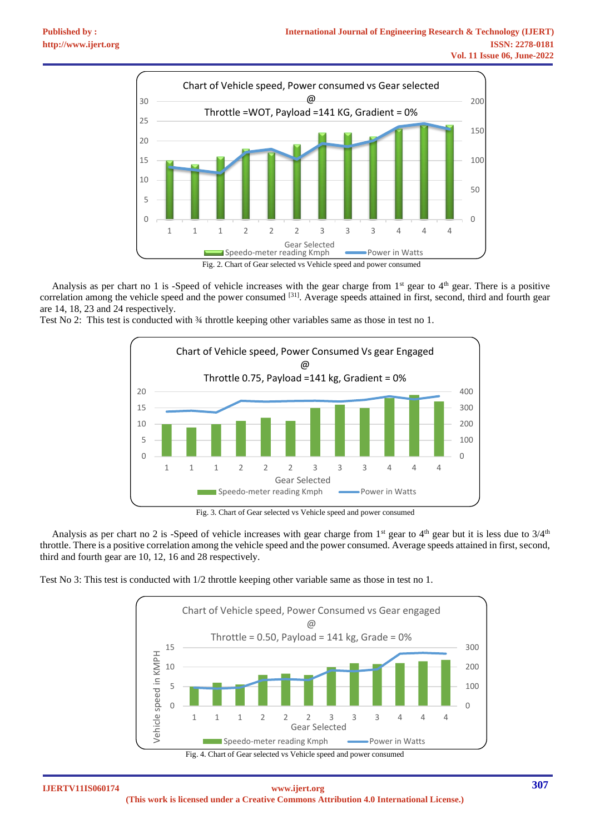

Analysis as per chart no 1 is -Speed of vehicle increases with the gear charge from  $1<sup>st</sup>$  gear to  $4<sup>th</sup>$  gear. There is a positive correlation among the vehicle speed and the power consumed <sup>[31]</sup>. Average speeds attained in first, second, third and fourth gear are 14, 18, 23 and 24 respectively.

Test No 2: This test is conducted with  $\frac{3}{4}$  throttle keeping other variables same as those in test no 1.



Fig. 3. Chart of Gear selected vs Vehicle speed and power consumed

Analysis as per chart no 2 is -Speed of vehicle increases with gear charge from 1<sup>st</sup> gear to 4<sup>th</sup> gear but it is less due to  $3/4$ <sup>th</sup> throttle. There is a positive correlation among the vehicle speed and the power consumed. Average speeds attained in first, second, third and fourth gear are 10, 12, 16 and 28 respectively.

Test No 3: This test is conducted with 1/2 throttle keeping other variable same as those in test no 1.





**IJERTV11IS060174 (This work is licensed under a Creative Commons Attribution 4.0 International License.) <www.ijert.org>**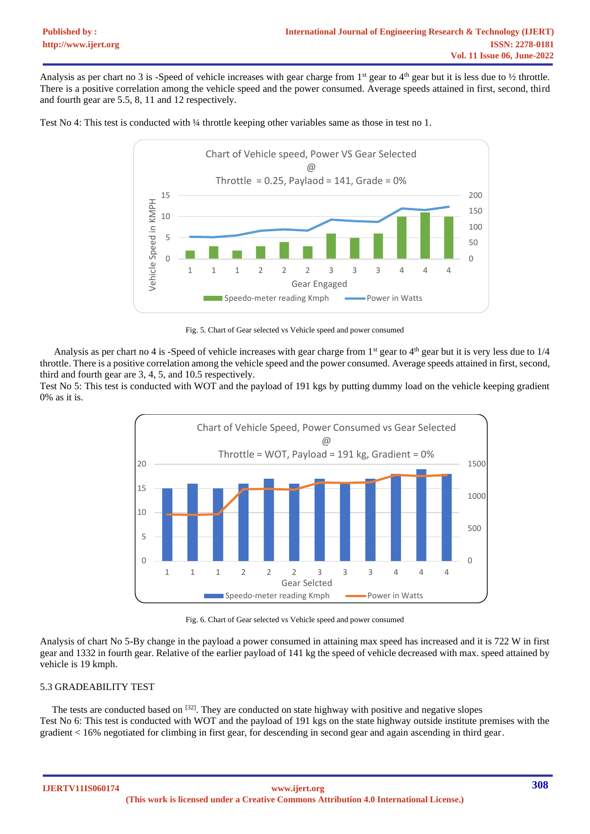Analysis as per chart no 3 is -Speed of vehicle increases with gear charge from 1<sup>st</sup> gear to 4<sup>th</sup> gear but it is less due to  $\frac{1}{2}$  throttle. There is a positive correlation among the vehicle speed and the power consumed. Average speeds attained in first, second, third and fourth gear are 5.5, 8, 11 and 12 respectively.





Fig. 5. Chart of Gear selected vs Vehicle speed and power consumed

Analysis as per chart no 4 is -Speed of vehicle increases with gear charge from  $1<sup>st</sup>$  gear to  $4<sup>th</sup>$  gear but it is very less due to  $1/4$ throttle. There is a positive correlation among the vehicle speed and the power consumed. Average speeds attained in first, second, third and fourth gear are 3, 4, 5, and 10.5 respectively.

Test No 5: This test is conducted with WOT and the payload of 191 kgs by putting dummy load on the vehicle keeping gradient 0% as it is.



Fig. 6. Chart of Gear selected vs Vehicle speed and power consumed

Analysis of chart No 5-By change in the payload a power consumed in attaining max speed has increased and it is 722 W in first gear and 1332 in fourth gear. Relative of the earlier payload of 141 kg the speed of vehicle decreased with max. speed attained by vehicle is 19 kmph.

# 5.3 GRADEABILITY TEST

The tests are conducted based on  $[32]$ . They are conducted on state highway with positive and negative slopes Test No 6: This test is conducted with WOT and the payload of 191 kgs on the state highway outside institute premises with the gradient < 16% negotiated for climbing in first gear, for descending in second gear and again ascending in third gear.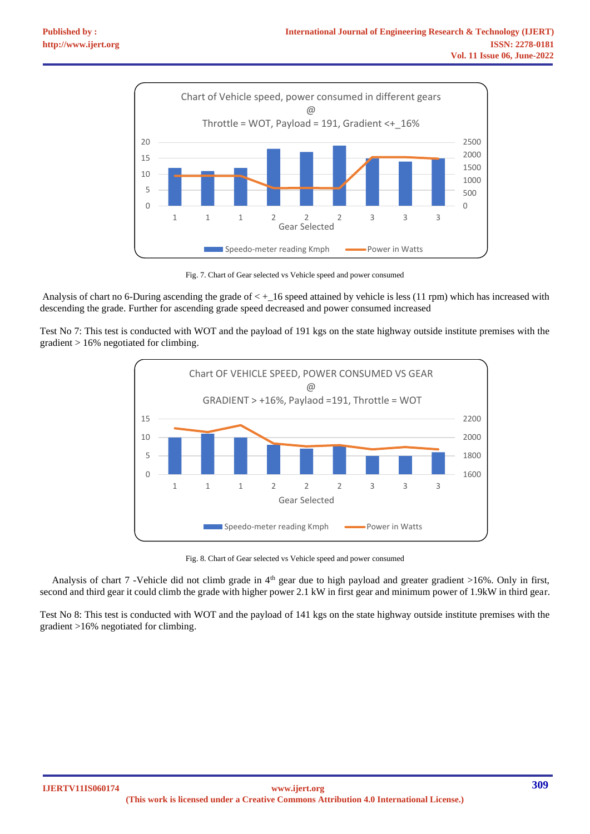

Fig. 7. Chart of Gear selected vs Vehicle speed and power consumed

Analysis of chart no 6-During ascending the grade of < +\_16 speed attained by vehicle is less (11 rpm) which has increased with descending the grade. Further for ascending grade speed decreased and power consumed increased

Test No 7: This test is conducted with WOT and the payload of 191 kgs on the state highway outside institute premises with the gradient > 16% negotiated for climbing.



Fig. 8. Chart of Gear selected vs Vehicle speed and power consumed

Analysis of chart 7 -Vehicle did not climb grade in  $4<sup>th</sup>$  gear due to high payload and greater gradient >16%. Only in first, second and third gear it could climb the grade with higher power 2.1 kW in first gear and minimum power of 1.9kW in third gear.

Test No 8: This test is conducted with WOT and the payload of 141 kgs on the state highway outside institute premises with the gradient >16% negotiated for climbing.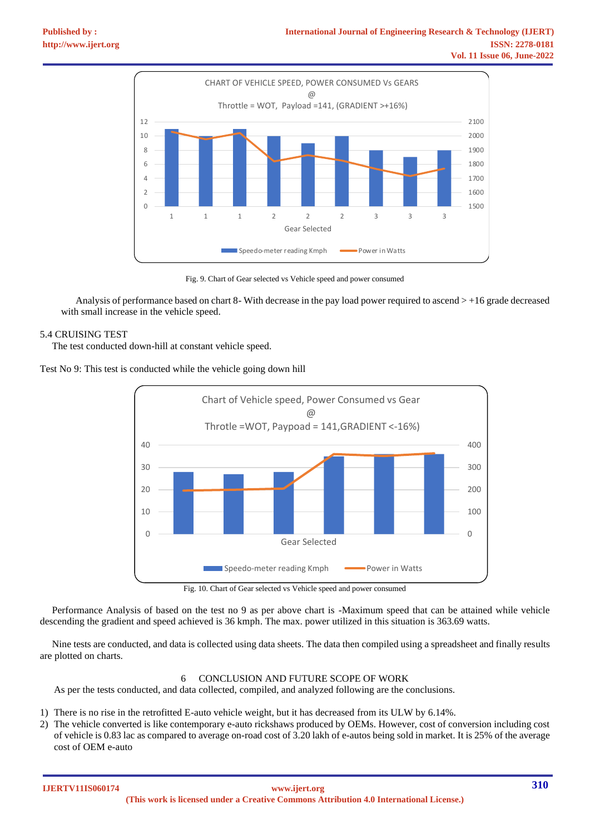

Fig. 9. Chart of Gear selected vs Vehicle speed and power consumed

Analysis of performance based on chart 8- With decrease in the pay load power required to ascend > +16 grade decreased with small increase in the vehicle speed.

# 5.4 CRUISING TEST

The test conducted down-hill at constant vehicle speed.

Test No 9: This test is conducted while the vehicle going down hill



Fig. 10. Chart of Gear selected vs Vehicle speed and power consumed

Performance Analysis of based on the test no 9 as per above chart is -Maximum speed that can be attained while vehicle descending the gradient and speed achieved is 36 kmph. The max. power utilized in this situation is 363.69 watts.

Nine tests are conducted, and data is collected using data sheets. The data then compiled using a spreadsheet and finally results are plotted on charts.

# 6 CONCLUSION AND FUTURE SCOPE OF WORK

As per the tests conducted, and data collected, compiled, and analyzed following are the conclusions.

- 1) There is no rise in the retrofitted E-auto vehicle weight, but it has decreased from its ULW by 6.14%.
- 2) The vehicle converted is like contemporary e-auto rickshaws produced by OEMs. However, cost of conversion including cost of vehicle is 0.83 lac as compared to average on-road cost of 3.20 lakh of e-autos being sold in market. It is 25% of the average cost of OEM e-auto

**IJERTV11IS060174**